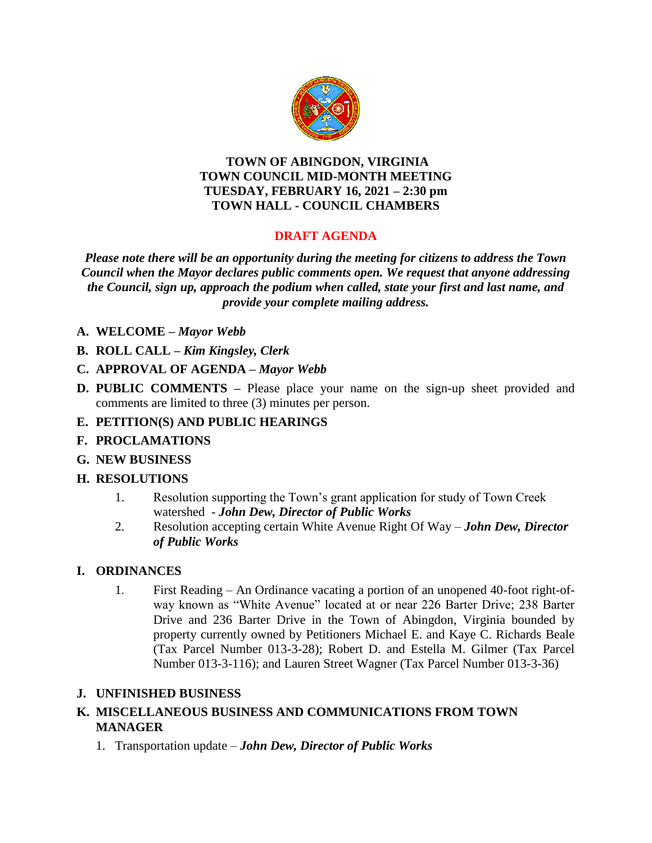

#### **TOWN OF ABINGDON, VIRGINIA TOWN COUNCIL MID-MONTH MEETING TUESDAY, FEBRUARY 16, 2021 – 2:30 pm TOWN HALL - COUNCIL CHAMBERS**

# **DRAFT AGENDA**

*Please note there will be an opportunity during the meeting for citizens to address the Town Council when the Mayor declares public comments open. We request that anyone addressing the Council, sign up, approach the podium when called, state your first and last name, and provide your complete mailing address.*

- **A. WELCOME –** *Mayor Webb*
- **B. ROLL CALL –** *Kim Kingsley, Clerk*
- **C. APPROVAL OF AGENDA –** *Mayor Webb*
- **D. PUBLIC COMMENTS –** Please place your name on the sign-up sheet provided and comments are limited to three (3) minutes per person.

## **E. PETITION(S) AND PUBLIC HEARINGS**

- **F. PROCLAMATIONS**
- **G. NEW BUSINESS**

## **H. RESOLUTIONS**

- 1. Resolution supporting the Town's grant application for study of Town Creek watershed - *John Dew, Director of Public Works*
- 2. Resolution accepting certain White Avenue Right Of Way *John Dew, Director of Public Works*

#### **I. ORDINANCES**

1. First Reading – An Ordinance vacating a portion of an unopened 40-foot right-ofway known as "White Avenue" located at or near 226 Barter Drive; 238 Barter Drive and 236 Barter Drive in the Town of Abingdon, Virginia bounded by property currently owned by Petitioners Michael E. and Kaye C. Richards Beale (Tax Parcel Number 013-3-28); Robert D. and Estella M. Gilmer (Tax Parcel Number 013-3-116); and Lauren Street Wagner (Tax Parcel Number 013-3-36)

#### **J. UNFINISHED BUSINESS**

### **K. MISCELLANEOUS BUSINESS AND COMMUNICATIONS FROM TOWN MANAGER**

1. Transportation update – *John Dew, Director of Public Works*